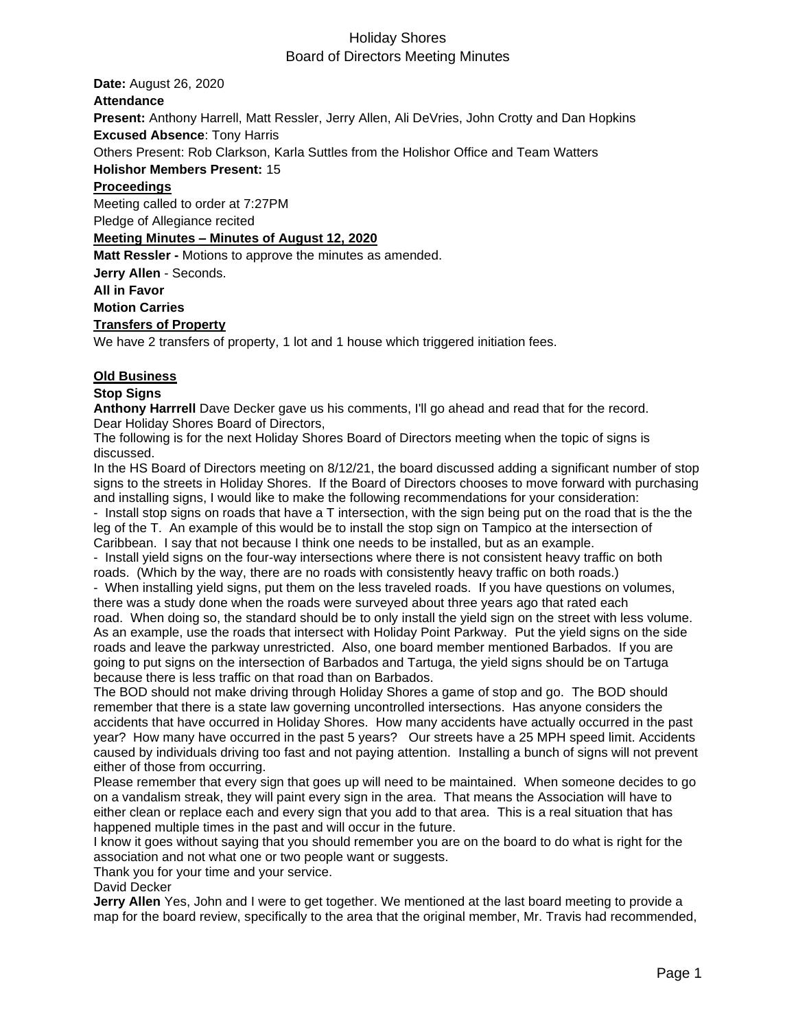**Date:** August 26, 2020 **Attendance Present:** Anthony Harrell, Matt Ressler, Jerry Allen, Ali DeVries, John Crotty and Dan Hopkins **Excused Absence**: Tony Harris Others Present: Rob Clarkson, Karla Suttles from the Holishor Office and Team Watters **Holishor Members Present:** 15 **Proceedings** Meeting called to order at 7:27PM Pledge of Allegiance recited **Meeting Minutes – Minutes of August 12, 2020 Matt Ressler -** Motions to approve the minutes as amended. **Jerry Allen** - Seconds. **All in Favor Motion Carries**

### **Transfers of Property**

We have 2 transfers of property, 1 lot and 1 house which triggered initiation fees.

#### **Old Business**

#### **Stop Signs**

**Anthony Harrrell** Dave Decker gave us his comments, I'll go ahead and read that for the record. Dear Holiday Shores Board of Directors,

The following is for the next Holiday Shores Board of Directors meeting when the topic of signs is discussed.

In the HS Board of Directors meeting on 8/12/21, the board discussed adding a significant number of stop signs to the streets in Holiday Shores. If the Board of Directors chooses to move forward with purchasing and installing signs, I would like to make the following recommendations for your consideration:

- Install stop signs on roads that have a T intersection, with the sign being put on the road that is the the leg of the T. An example of this would be to install the stop sign on Tampico at the intersection of Caribbean. I say that not because I think one needs to be installed, but as an example.

- Install yield signs on the four-way intersections where there is not consistent heavy traffic on both roads. (Which by the way, there are no roads with consistently heavy traffic on both roads.)

- When installing yield signs, put them on the less traveled roads. If you have questions on volumes, there was a study done when the roads were surveyed about three years ago that rated each

road. When doing so, the standard should be to only install the yield sign on the street with less volume. As an example, use the roads that intersect with Holiday Point Parkway. Put the yield signs on the side roads and leave the parkway unrestricted. Also, one board member mentioned Barbados. If you are going to put signs on the intersection of Barbados and Tartuga, the yield signs should be on Tartuga because there is less traffic on that road than on Barbados.

The BOD should not make driving through Holiday Shores a game of stop and go. The BOD should remember that there is a state law governing uncontrolled intersections. Has anyone considers the accidents that have occurred in Holiday Shores. How many accidents have actually occurred in the past year? How many have occurred in the past 5 years? Our streets have a 25 MPH speed limit. Accidents caused by individuals driving too fast and not paying attention. Installing a bunch of signs will not prevent either of those from occurring.

Please remember that every sign that goes up will need to be maintained. When someone decides to go on a vandalism streak, they will paint every sign in the area. That means the Association will have to either clean or replace each and every sign that you add to that area. This is a real situation that has happened multiple times in the past and will occur in the future.

I know it goes without saying that you should remember you are on the board to do what is right for the association and not what one or two people want or suggests.

Thank you for your time and your service.

David Decker

**Jerry Allen** Yes, John and I were to get together. We mentioned at the last board meeting to provide a map for the board review, specifically to the area that the original member, Mr. Travis had recommended,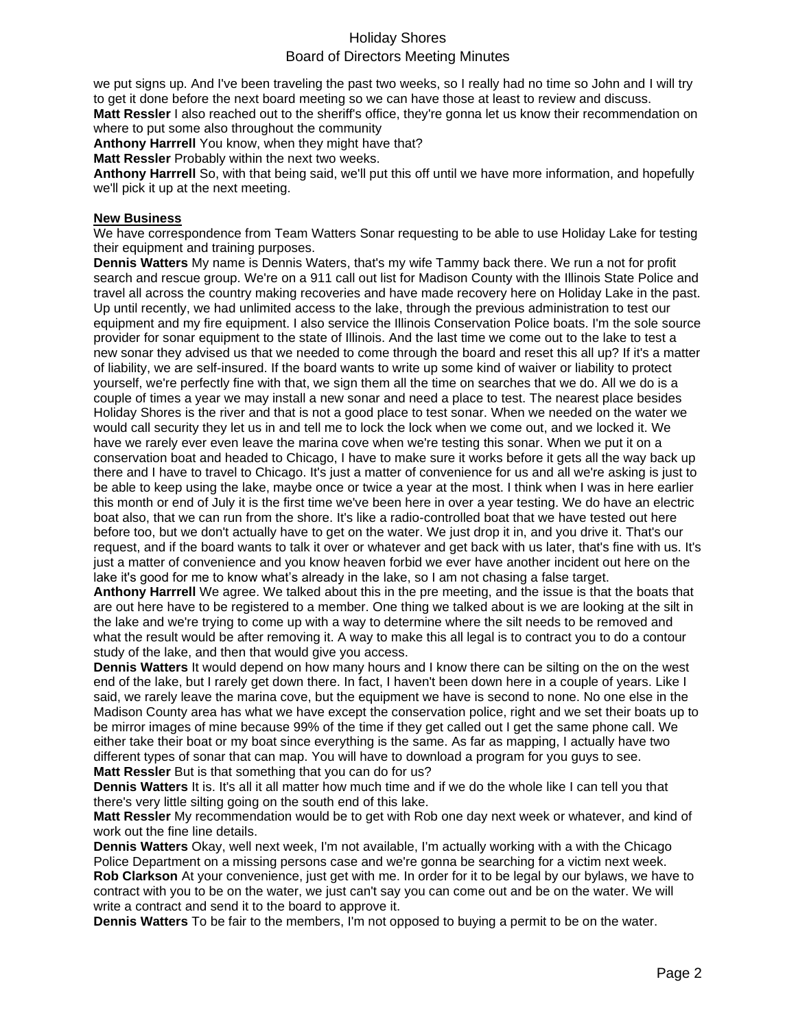we put signs up. And I've been traveling the past two weeks, so I really had no time so John and I will try to get it done before the next board meeting so we can have those at least to review and discuss. **Matt Ressler** I also reached out to the sheriff's office, they're gonna let us know their recommendation on

where to put some also throughout the community

**Anthony Harrrell** You know, when they might have that?

**Matt Ressler** Probably within the next two weeks.

**Anthony Harrrell** So, with that being said, we'll put this off until we have more information, and hopefully we'll pick it up at the next meeting.

### **New Business**

We have correspondence from Team Watters Sonar requesting to be able to use Holiday Lake for testing their equipment and training purposes.

**Dennis Watters** My name is Dennis Waters, that's my wife Tammy back there. We run a not for profit search and rescue group. We're on a 911 call out list for Madison County with the Illinois State Police and travel all across the country making recoveries and have made recovery here on Holiday Lake in the past. Up until recently, we had unlimited access to the lake, through the previous administration to test our equipment and my fire equipment. I also service the Illinois Conservation Police boats. I'm the sole source provider for sonar equipment to the state of Illinois. And the last time we come out to the lake to test a new sonar they advised us that we needed to come through the board and reset this all up? If it's a matter of liability, we are self-insured. If the board wants to write up some kind of waiver or liability to protect yourself, we're perfectly fine with that, we sign them all the time on searches that we do. All we do is a couple of times a year we may install a new sonar and need a place to test. The nearest place besides Holiday Shores is the river and that is not a good place to test sonar. When we needed on the water we would call security they let us in and tell me to lock the lock when we come out, and we locked it. We have we rarely ever even leave the marina cove when we're testing this sonar. When we put it on a conservation boat and headed to Chicago, I have to make sure it works before it gets all the way back up there and I have to travel to Chicago. It's just a matter of convenience for us and all we're asking is just to be able to keep using the lake, maybe once or twice a year at the most. I think when I was in here earlier this month or end of July it is the first time we've been here in over a year testing. We do have an electric boat also, that we can run from the shore. It's like a radio-controlled boat that we have tested out here before too, but we don't actually have to get on the water. We just drop it in, and you drive it. That's our request, and if the board wants to talk it over or whatever and get back with us later, that's fine with us. It's just a matter of convenience and you know heaven forbid we ever have another incident out here on the lake it's good for me to know what's already in the lake, so I am not chasing a false target.

**Anthony Harrrell** We agree. We talked about this in the pre meeting, and the issue is that the boats that are out here have to be registered to a member. One thing we talked about is we are looking at the silt in the lake and we're trying to come up with a way to determine where the silt needs to be removed and what the result would be after removing it. A way to make this all legal is to contract you to do a contour study of the lake, and then that would give you access.

**Dennis Watters** It would depend on how many hours and I know there can be silting on the on the west end of the lake, but I rarely get down there. In fact, I haven't been down here in a couple of years. Like I said, we rarely leave the marina cove, but the equipment we have is second to none. No one else in the Madison County area has what we have except the conservation police, right and we set their boats up to be mirror images of mine because 99% of the time if they get called out I get the same phone call. We either take their boat or my boat since everything is the same. As far as mapping, I actually have two different types of sonar that can map. You will have to download a program for you guys to see. **Matt Ressler** But is that something that you can do for us?

**Dennis Watters** It is. It's all it all matter how much time and if we do the whole like I can tell you that there's very little silting going on the south end of this lake.

**Matt Ressler** My recommendation would be to get with Rob one day next week or whatever, and kind of work out the fine line details.

**Dennis Watters** Okay, well next week, I'm not available, I'm actually working with a with the Chicago Police Department on a missing persons case and we're gonna be searching for a victim next week. **Rob Clarkson** At your convenience, just get with me. In order for it to be legal by our bylaws, we have to contract with you to be on the water, we just can't say you can come out and be on the water. We will write a contract and send it to the board to approve it.

**Dennis Watters** To be fair to the members, I'm not opposed to buying a permit to be on the water.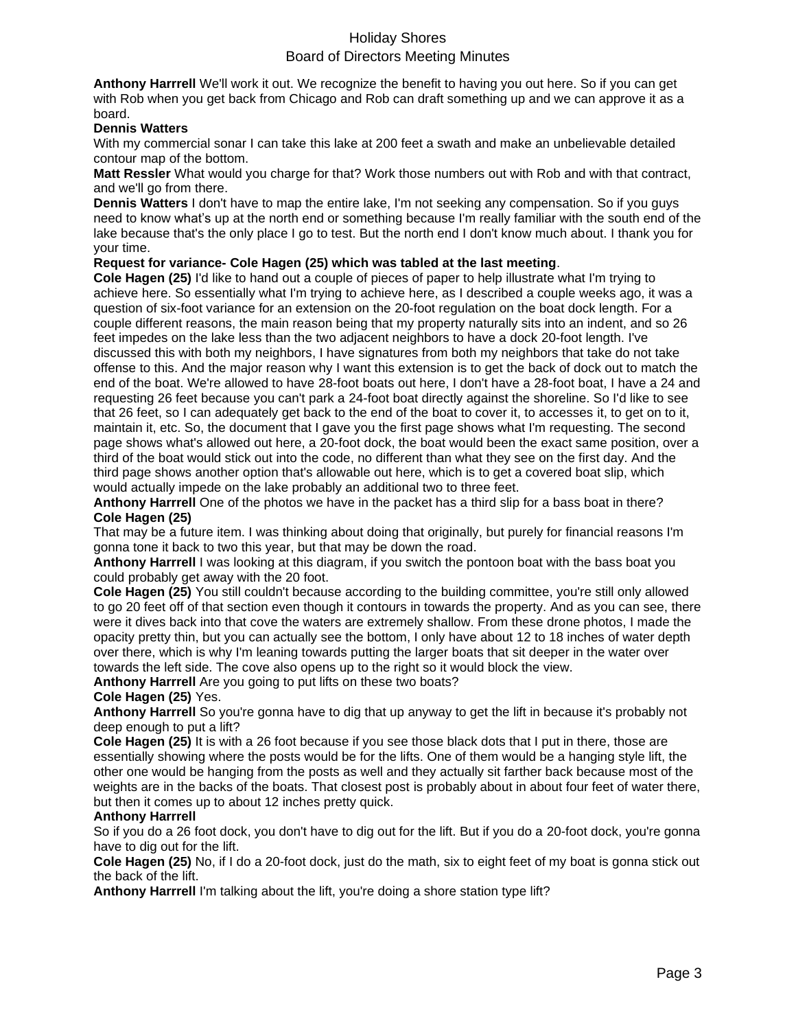**Anthony Harrrell** We'll work it out. We recognize the benefit to having you out here. So if you can get with Rob when you get back from Chicago and Rob can draft something up and we can approve it as a board.

### **Dennis Watters**

With my commercial sonar I can take this lake at 200 feet a swath and make an unbelievable detailed contour map of the bottom.

**Matt Ressler** What would you charge for that? Work those numbers out with Rob and with that contract, and we'll go from there.

**Dennis Watters** I don't have to map the entire lake, I'm not seeking any compensation. So if you guys need to know what's up at the north end or something because I'm really familiar with the south end of the lake because that's the only place I go to test. But the north end I don't know much about. I thank you for your time.

### **Request for variance- Cole Hagen (25) which was tabled at the last meeting**.

**Cole Hagen (25)** I'd like to hand out a couple of pieces of paper to help illustrate what I'm trying to achieve here. So essentially what I'm trying to achieve here, as I described a couple weeks ago, it was a question of six-foot variance for an extension on the 20-foot regulation on the boat dock length. For a couple different reasons, the main reason being that my property naturally sits into an indent, and so 26 feet impedes on the lake less than the two adjacent neighbors to have a dock 20-foot length. I've discussed this with both my neighbors, I have signatures from both my neighbors that take do not take offense to this. And the major reason why I want this extension is to get the back of dock out to match the end of the boat. We're allowed to have 28-foot boats out here, I don't have a 28-foot boat, I have a 24 and requesting 26 feet because you can't park a 24-foot boat directly against the shoreline. So I'd like to see that 26 feet, so I can adequately get back to the end of the boat to cover it, to accesses it, to get on to it, maintain it, etc. So, the document that I gave you the first page shows what I'm requesting. The second page shows what's allowed out here, a 20-foot dock, the boat would been the exact same position, over a third of the boat would stick out into the code, no different than what they see on the first day. And the third page shows another option that's allowable out here, which is to get a covered boat slip, which would actually impede on the lake probably an additional two to three feet.

**Anthony Harrrell** One of the photos we have in the packet has a third slip for a bass boat in there? **Cole Hagen (25)**

That may be a future item. I was thinking about doing that originally, but purely for financial reasons I'm gonna tone it back to two this year, but that may be down the road.

**Anthony Harrrell** I was looking at this diagram, if you switch the pontoon boat with the bass boat you could probably get away with the 20 foot.

**Cole Hagen (25)** You still couldn't because according to the building committee, you're still only allowed to go 20 feet off of that section even though it contours in towards the property. And as you can see, there were it dives back into that cove the waters are extremely shallow. From these drone photos, I made the opacity pretty thin, but you can actually see the bottom, I only have about 12 to 18 inches of water depth over there, which is why I'm leaning towards putting the larger boats that sit deeper in the water over towards the left side. The cove also opens up to the right so it would block the view.

**Anthony Harrrell** Are you going to put lifts on these two boats?

### **Cole Hagen (25)** Yes.

**Anthony Harrrell** So you're gonna have to dig that up anyway to get the lift in because it's probably not deep enough to put a lift?

**Cole Hagen (25)** It is with a 26 foot because if you see those black dots that I put in there, those are essentially showing where the posts would be for the lifts. One of them would be a hanging style lift, the other one would be hanging from the posts as well and they actually sit farther back because most of the weights are in the backs of the boats. That closest post is probably about in about four feet of water there, but then it comes up to about 12 inches pretty quick.

### **Anthony Harrrell**

So if you do a 26 foot dock, you don't have to dig out for the lift. But if you do a 20-foot dock, you're gonna have to dig out for the lift.

**Cole Hagen (25)** No, if I do a 20-foot dock, just do the math, six to eight feet of my boat is gonna stick out the back of the lift.

**Anthony Harrrell** I'm talking about the lift, you're doing a shore station type lift?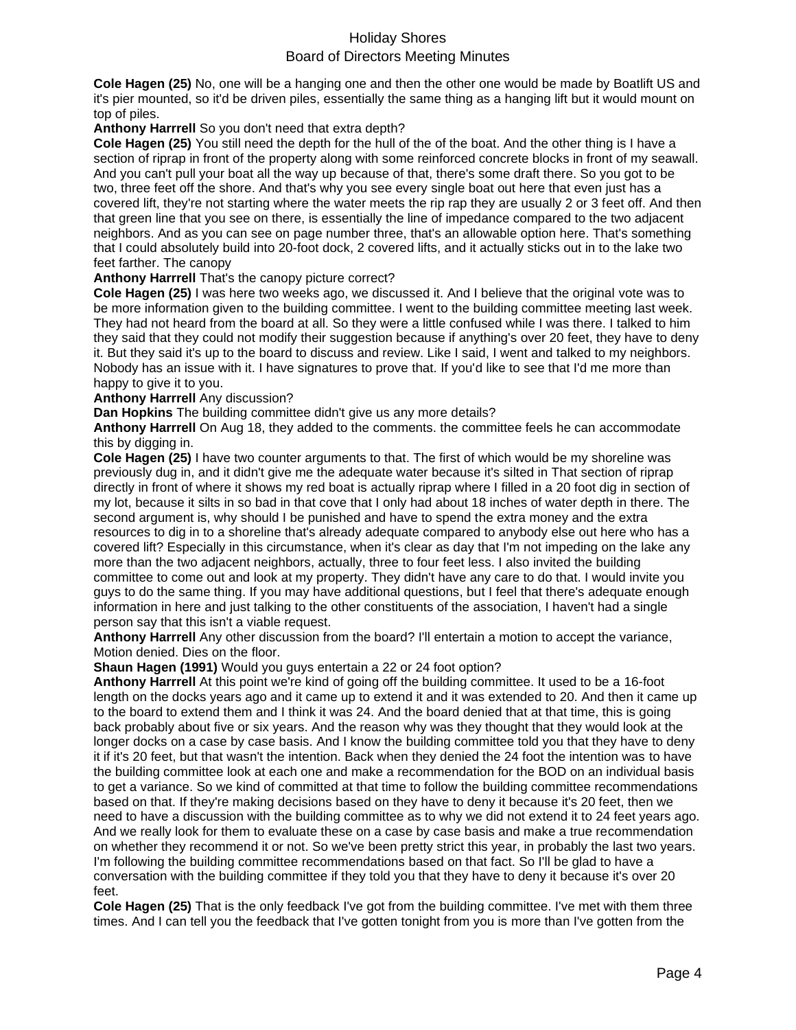**Cole Hagen (25)** No, one will be a hanging one and then the other one would be made by Boatlift US and it's pier mounted, so it'd be driven piles, essentially the same thing as a hanging lift but it would mount on top of piles.

### **Anthony Harrrell** So you don't need that extra depth?

**Cole Hagen (25)** You still need the depth for the hull of the of the boat. And the other thing is I have a section of riprap in front of the property along with some reinforced concrete blocks in front of my seawall. And you can't pull your boat all the way up because of that, there's some draft there. So you got to be two, three feet off the shore. And that's why you see every single boat out here that even just has a covered lift, they're not starting where the water meets the rip rap they are usually 2 or 3 feet off. And then that green line that you see on there, is essentially the line of impedance compared to the two adjacent neighbors. And as you can see on page number three, that's an allowable option here. That's something that I could absolutely build into 20-foot dock, 2 covered lifts, and it actually sticks out in to the lake two feet farther. The canopy

### **Anthony Harrrell** That's the canopy picture correct?

**Cole Hagen (25)** I was here two weeks ago, we discussed it. And I believe that the original vote was to be more information given to the building committee. I went to the building committee meeting last week. They had not heard from the board at all. So they were a little confused while I was there. I talked to him they said that they could not modify their suggestion because if anything's over 20 feet, they have to deny it. But they said it's up to the board to discuss and review. Like I said, I went and talked to my neighbors. Nobody has an issue with it. I have signatures to prove that. If you'd like to see that I'd me more than happy to give it to you.

### **Anthony Harrrell** Any discussion?

**Dan Hopkins** The building committee didn't give us any more details?

**Anthony Harrrell** On Aug 18, they added to the comments. the committee feels he can accommodate this by digging in.

**Cole Hagen (25)** I have two counter arguments to that. The first of which would be my shoreline was previously dug in, and it didn't give me the adequate water because it's silted in That section of riprap directly in front of where it shows my red boat is actually riprap where I filled in a 20 foot dig in section of my lot, because it silts in so bad in that cove that I only had about 18 inches of water depth in there. The second argument is, why should I be punished and have to spend the extra money and the extra resources to dig in to a shoreline that's already adequate compared to anybody else out here who has a covered lift? Especially in this circumstance, when it's clear as day that I'm not impeding on the lake any more than the two adjacent neighbors, actually, three to four feet less. I also invited the building committee to come out and look at my property. They didn't have any care to do that. I would invite you guys to do the same thing. If you may have additional questions, but I feel that there's adequate enough information in here and just talking to the other constituents of the association, I haven't had a single person say that this isn't a viable request.

**Anthony Harrrell** Any other discussion from the board? I'll entertain a motion to accept the variance, Motion denied. Dies on the floor.

### **Shaun Hagen (1991)** Would you guys entertain a 22 or 24 foot option?

**Anthony Harrrell** At this point we're kind of going off the building committee. It used to be a 16-foot length on the docks years ago and it came up to extend it and it was extended to 20. And then it came up to the board to extend them and I think it was 24. And the board denied that at that time, this is going back probably about five or six years. And the reason why was they thought that they would look at the longer docks on a case by case basis. And I know the building committee told you that they have to deny it if it's 20 feet, but that wasn't the intention. Back when they denied the 24 foot the intention was to have the building committee look at each one and make a recommendation for the BOD on an individual basis to get a variance. So we kind of committed at that time to follow the building committee recommendations based on that. If they're making decisions based on they have to deny it because it's 20 feet, then we need to have a discussion with the building committee as to why we did not extend it to 24 feet years ago. And we really look for them to evaluate these on a case by case basis and make a true recommendation on whether they recommend it or not. So we've been pretty strict this year, in probably the last two years. I'm following the building committee recommendations based on that fact. So I'll be glad to have a conversation with the building committee if they told you that they have to deny it because it's over 20 feet.

**Cole Hagen (25)** That is the only feedback I've got from the building committee. I've met with them three times. And I can tell you the feedback that I've gotten tonight from you is more than I've gotten from the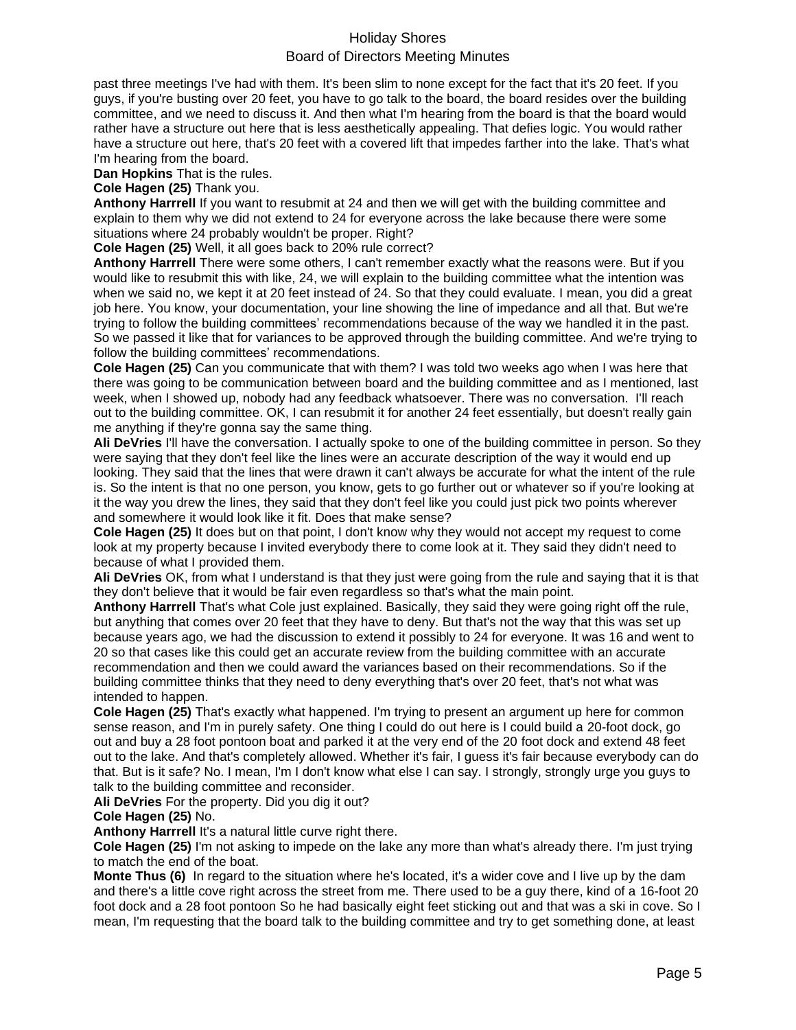past three meetings I've had with them. It's been slim to none except for the fact that it's 20 feet. If you guys, if you're busting over 20 feet, you have to go talk to the board, the board resides over the building committee, and we need to discuss it. And then what I'm hearing from the board is that the board would rather have a structure out here that is less aesthetically appealing. That defies logic. You would rather have a structure out here, that's 20 feet with a covered lift that impedes farther into the lake. That's what I'm hearing from the board.

**Dan Hopkins** That is the rules.

**Cole Hagen (25)** Thank you.

**Anthony Harrrell** If you want to resubmit at 24 and then we will get with the building committee and explain to them why we did not extend to 24 for everyone across the lake because there were some situations where 24 probably wouldn't be proper. Right?

**Cole Hagen (25)** Well, it all goes back to 20% rule correct?

**Anthony Harrrell** There were some others, I can't remember exactly what the reasons were. But if you would like to resubmit this with like, 24, we will explain to the building committee what the intention was when we said no, we kept it at 20 feet instead of 24. So that they could evaluate. I mean, you did a great job here. You know, your documentation, your line showing the line of impedance and all that. But we're trying to follow the building committees' recommendations because of the way we handled it in the past. So we passed it like that for variances to be approved through the building committee. And we're trying to follow the building committees' recommendations.

**Cole Hagen (25)** Can you communicate that with them? I was told two weeks ago when I was here that there was going to be communication between board and the building committee and as I mentioned, last week, when I showed up, nobody had any feedback whatsoever. There was no conversation. I'll reach out to the building committee. OK, I can resubmit it for another 24 feet essentially, but doesn't really gain me anything if they're gonna say the same thing.

**Ali DeVries** I'll have the conversation. I actually spoke to one of the building committee in person. So they were saying that they don't feel like the lines were an accurate description of the way it would end up looking. They said that the lines that were drawn it can't always be accurate for what the intent of the rule is. So the intent is that no one person, you know, gets to go further out or whatever so if you're looking at it the way you drew the lines, they said that they don't feel like you could just pick two points wherever and somewhere it would look like it fit. Does that make sense?

**Cole Hagen (25)** It does but on that point, I don't know why they would not accept my request to come look at my property because I invited everybody there to come look at it. They said they didn't need to because of what I provided them.

**Ali DeVries** OK, from what I understand is that they just were going from the rule and saying that it is that they don't believe that it would be fair even regardless so that's what the main point.

**Anthony Harrrell** That's what Cole just explained. Basically, they said they were going right off the rule, but anything that comes over 20 feet that they have to deny. But that's not the way that this was set up because years ago, we had the discussion to extend it possibly to 24 for everyone. It was 16 and went to 20 so that cases like this could get an accurate review from the building committee with an accurate recommendation and then we could award the variances based on their recommendations. So if the building committee thinks that they need to deny everything that's over 20 feet, that's not what was intended to happen.

**Cole Hagen (25)** That's exactly what happened. I'm trying to present an argument up here for common sense reason, and I'm in purely safety. One thing I could do out here is I could build a 20-foot dock, go out and buy a 28 foot pontoon boat and parked it at the very end of the 20 foot dock and extend 48 feet out to the lake. And that's completely allowed. Whether it's fair, I guess it's fair because everybody can do that. But is it safe? No. I mean, I'm I don't know what else I can say. I strongly, strongly urge you guys to talk to the building committee and reconsider.

**Ali DeVries** For the property. Did you dig it out?

**Cole Hagen (25)** No.

**Anthony Harrrell** It's a natural little curve right there.

**Cole Hagen (25)** I'm not asking to impede on the lake any more than what's already there. I'm just trying to match the end of the boat.

**Monte Thus (6)** In regard to the situation where he's located, it's a wider cove and I live up by the dam and there's a little cove right across the street from me. There used to be a guy there, kind of a 16-foot 20 foot dock and a 28 foot pontoon So he had basically eight feet sticking out and that was a ski in cove. So I mean, I'm requesting that the board talk to the building committee and try to get something done, at least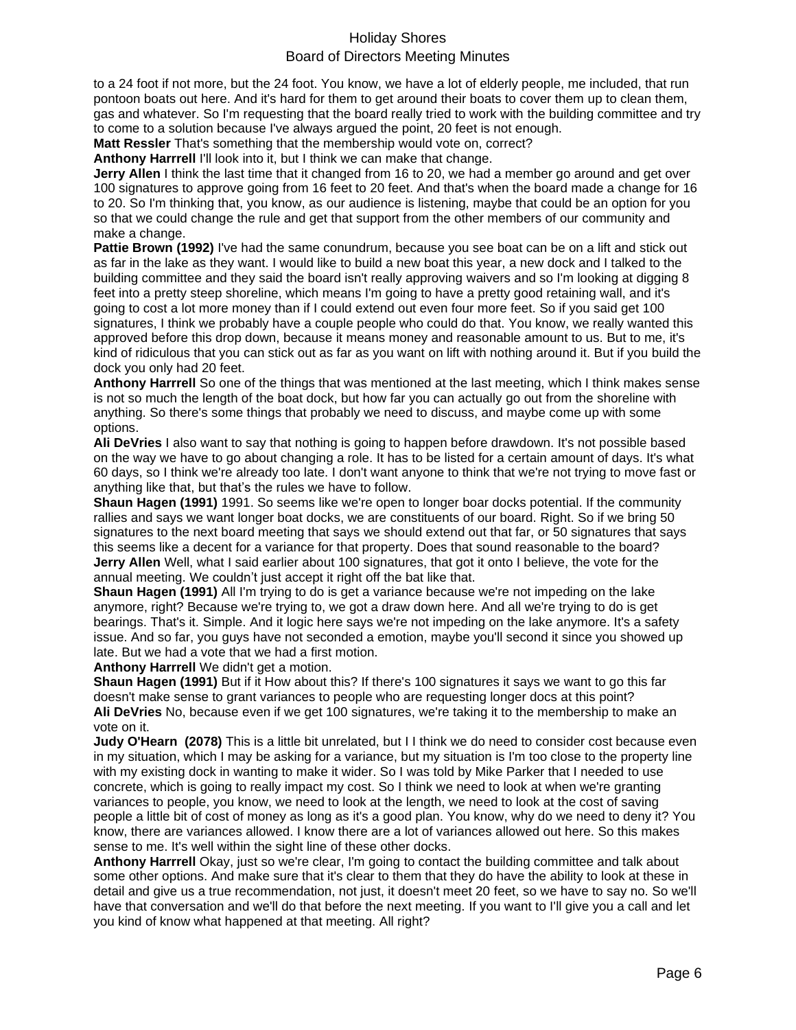to a 24 foot if not more, but the 24 foot. You know, we have a lot of elderly people, me included, that run pontoon boats out here. And it's hard for them to get around their boats to cover them up to clean them, gas and whatever. So I'm requesting that the board really tried to work with the building committee and try to come to a solution because I've always argued the point, 20 feet is not enough.

**Matt Ressler** That's something that the membership would vote on, correct?

**Anthony Harrrell** I'll look into it, but I think we can make that change.

**Jerry Allen** I think the last time that it changed from 16 to 20, we had a member go around and get over 100 signatures to approve going from 16 feet to 20 feet. And that's when the board made a change for 16 to 20. So I'm thinking that, you know, as our audience is listening, maybe that could be an option for you so that we could change the rule and get that support from the other members of our community and make a change.

**Pattie Brown (1992)** I've had the same conundrum, because you see boat can be on a lift and stick out as far in the lake as they want. I would like to build a new boat this year, a new dock and I talked to the building committee and they said the board isn't really approving waivers and so I'm looking at digging 8 feet into a pretty steep shoreline, which means I'm going to have a pretty good retaining wall, and it's going to cost a lot more money than if I could extend out even four more feet. So if you said get 100 signatures, I think we probably have a couple people who could do that. You know, we really wanted this approved before this drop down, because it means money and reasonable amount to us. But to me, it's kind of ridiculous that you can stick out as far as you want on lift with nothing around it. But if you build the dock you only had 20 feet.

**Anthony Harrrell** So one of the things that was mentioned at the last meeting, which I think makes sense is not so much the length of the boat dock, but how far you can actually go out from the shoreline with anything. So there's some things that probably we need to discuss, and maybe come up with some options.

**Ali DeVries** I also want to say that nothing is going to happen before drawdown. It's not possible based on the way we have to go about changing a role. It has to be listed for a certain amount of days. It's what 60 days, so I think we're already too late. I don't want anyone to think that we're not trying to move fast or anything like that, but that's the rules we have to follow.

**Shaun Hagen (1991)** 1991. So seems like we're open to longer boar docks potential. If the community rallies and says we want longer boat docks, we are constituents of our board. Right. So if we bring 50 signatures to the next board meeting that says we should extend out that far, or 50 signatures that says this seems like a decent for a variance for that property. Does that sound reasonable to the board? **Jerry Allen** Well, what I said earlier about 100 signatures, that got it onto I believe, the vote for the annual meeting. We couldn't just accept it right off the bat like that.

**Shaun Hagen (1991)** All I'm trying to do is get a variance because we're not impeding on the lake anymore, right? Because we're trying to, we got a draw down here. And all we're trying to do is get bearings. That's it. Simple. And it logic here says we're not impeding on the lake anymore. It's a safety issue. And so far, you guys have not seconded a emotion, maybe you'll second it since you showed up late. But we had a vote that we had a first motion.

**Anthony Harrrell** We didn't get a motion.

**Shaun Hagen (1991)** But if it How about this? If there's 100 signatures it says we want to go this far doesn't make sense to grant variances to people who are requesting longer docs at this point? **Ali DeVries** No, because even if we get 100 signatures, we're taking it to the membership to make an vote on it.

**Judy O'Hearn (2078)** This is a little bit unrelated, but I I think we do need to consider cost because even in my situation, which I may be asking for a variance, but my situation is I'm too close to the property line with my existing dock in wanting to make it wider. So I was told by Mike Parker that I needed to use concrete, which is going to really impact my cost. So I think we need to look at when we're granting variances to people, you know, we need to look at the length, we need to look at the cost of saving people a little bit of cost of money as long as it's a good plan. You know, why do we need to deny it? You know, there are variances allowed. I know there are a lot of variances allowed out here. So this makes sense to me. It's well within the sight line of these other docks.

**Anthony Harrrell** Okay, just so we're clear, I'm going to contact the building committee and talk about some other options. And make sure that it's clear to them that they do have the ability to look at these in detail and give us a true recommendation, not just, it doesn't meet 20 feet, so we have to say no. So we'll have that conversation and we'll do that before the next meeting. If you want to I'll give you a call and let you kind of know what happened at that meeting. All right?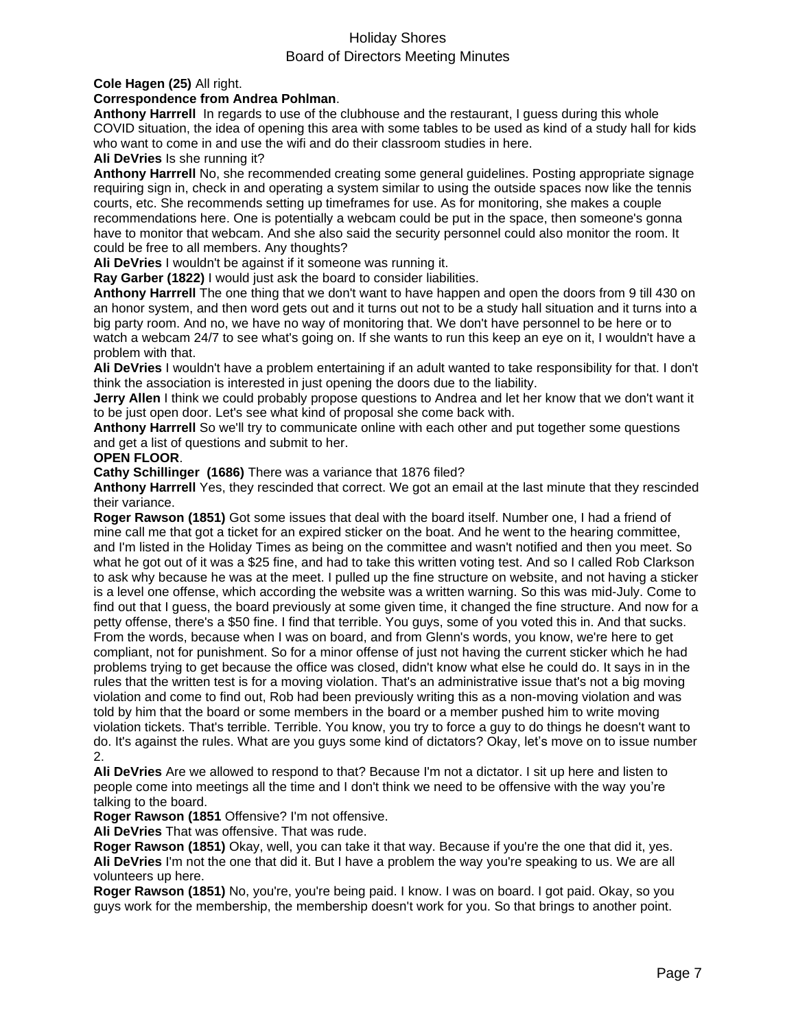### **Cole Hagen (25)** All right.

### **Correspondence from Andrea Pohlman**.

**Anthony Harrrell** In regards to use of the clubhouse and the restaurant, I guess during this whole COVID situation, the idea of opening this area with some tables to be used as kind of a study hall for kids who want to come in and use the wifi and do their classroom studies in here.

### **Ali DeVries** Is she running it?

**Anthony Harrrell** No, she recommended creating some general guidelines. Posting appropriate signage requiring sign in, check in and operating a system similar to using the outside spaces now like the tennis courts, etc. She recommends setting up timeframes for use. As for monitoring, she makes a couple recommendations here. One is potentially a webcam could be put in the space, then someone's gonna have to monitor that webcam. And she also said the security personnel could also monitor the room. It could be free to all members. Any thoughts?

**Ali DeVries** I wouldn't be against if it someone was running it.

**Ray Garber (1822)** I would just ask the board to consider liabilities.

**Anthony Harrrell** The one thing that we don't want to have happen and open the doors from 9 till 430 on an honor system, and then word gets out and it turns out not to be a study hall situation and it turns into a big party room. And no, we have no way of monitoring that. We don't have personnel to be here or to watch a webcam 24/7 to see what's going on. If she wants to run this keep an eye on it, I wouldn't have a problem with that.

**Ali DeVries** I wouldn't have a problem entertaining if an adult wanted to take responsibility for that. I don't think the association is interested in just opening the doors due to the liability.

**Jerry Allen** I think we could probably propose questions to Andrea and let her know that we don't want it to be just open door. Let's see what kind of proposal she come back with.

**Anthony Harrrell** So we'll try to communicate online with each other and put together some questions and get a list of questions and submit to her.

### **OPEN FLOOR**.

**Cathy Schillinger (1686)** There was a variance that 1876 filed?

**Anthony Harrrell** Yes, they rescinded that correct. We got an email at the last minute that they rescinded their variance.

**Roger Rawson (1851)** Got some issues that deal with the board itself. Number one, I had a friend of mine call me that got a ticket for an expired sticker on the boat. And he went to the hearing committee, and I'm listed in the Holiday Times as being on the committee and wasn't notified and then you meet. So what he got out of it was a \$25 fine, and had to take this written voting test. And so I called Rob Clarkson to ask why because he was at the meet. I pulled up the fine structure on website, and not having a sticker is a level one offense, which according the website was a written warning. So this was mid-July. Come to find out that I guess, the board previously at some given time, it changed the fine structure. And now for a petty offense, there's a \$50 fine. I find that terrible. You guys, some of you voted this in. And that sucks. From the words, because when I was on board, and from Glenn's words, you know, we're here to get compliant, not for punishment. So for a minor offense of just not having the current sticker which he had problems trying to get because the office was closed, didn't know what else he could do. It says in in the rules that the written test is for a moving violation. That's an administrative issue that's not a big moving violation and come to find out, Rob had been previously writing this as a non-moving violation and was told by him that the board or some members in the board or a member pushed him to write moving violation tickets. That's terrible. Terrible. You know, you try to force a guy to do things he doesn't want to do. It's against the rules. What are you guys some kind of dictators? Okay, let's move on to issue number 2.

**Ali DeVries** Are we allowed to respond to that? Because I'm not a dictator. I sit up here and listen to people come into meetings all the time and I don't think we need to be offensive with the way you're talking to the board.

**Roger Rawson (1851** Offensive? I'm not offensive.

**Ali DeVries** That was offensive. That was rude.

**Roger Rawson (1851)** Okay, well, you can take it that way. Because if you're the one that did it, yes. **Ali DeVries** I'm not the one that did it. But I have a problem the way you're speaking to us. We are all volunteers up here.

**Roger Rawson (1851)** No, you're, you're being paid. I know. I was on board. I got paid. Okay, so you guys work for the membership, the membership doesn't work for you. So that brings to another point.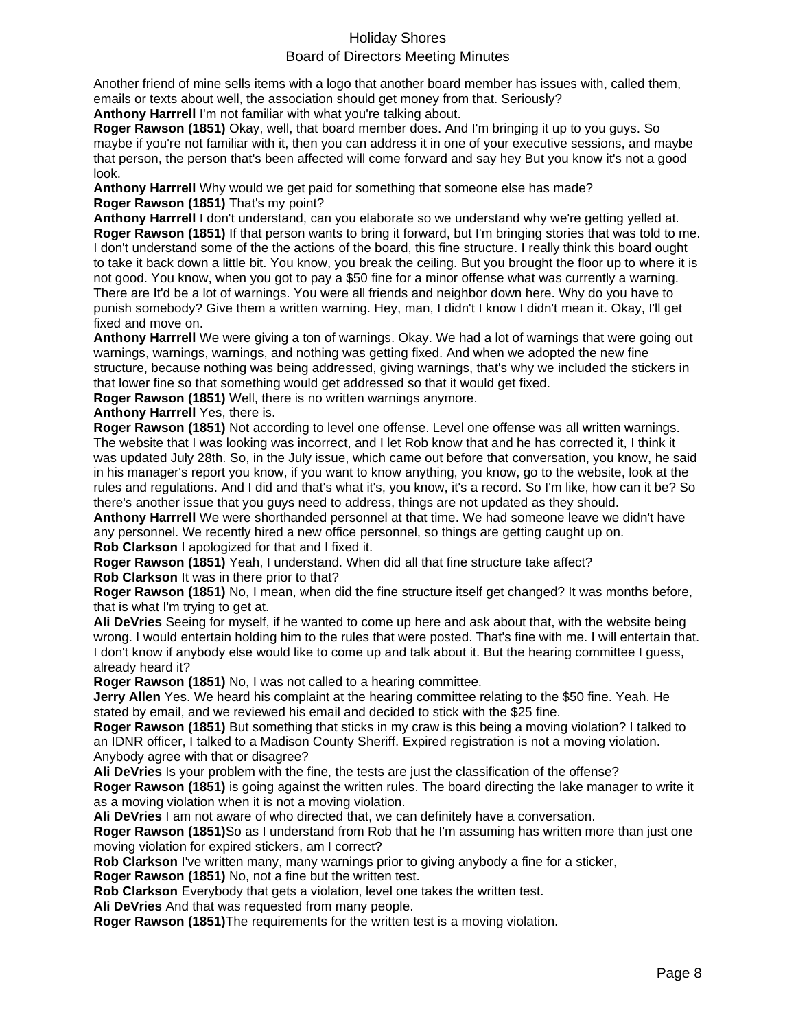Another friend of mine sells items with a logo that another board member has issues with, called them, emails or texts about well, the association should get money from that. Seriously?

**Anthony Harrrell** I'm not familiar with what you're talking about.

**Roger Rawson (1851)** Okay, well, that board member does. And I'm bringing it up to you guys. So maybe if you're not familiar with it, then you can address it in one of your executive sessions, and maybe that person, the person that's been affected will come forward and say hey But you know it's not a good look.

**Anthony Harrrell** Why would we get paid for something that someone else has made? **Roger Rawson (1851)** That's my point?

**Anthony Harrrell** I don't understand, can you elaborate so we understand why we're getting yelled at. **Roger Rawson (1851)** If that person wants to bring it forward, but I'm bringing stories that was told to me. I don't understand some of the the actions of the board, this fine structure. I really think this board ought to take it back down a little bit. You know, you break the ceiling. But you brought the floor up to where it is not good. You know, when you got to pay a \$50 fine for a minor offense what was currently a warning. There are It'd be a lot of warnings. You were all friends and neighbor down here. Why do you have to punish somebody? Give them a written warning. Hey, man, I didn't I know I didn't mean it. Okay, I'll get fixed and move on.

**Anthony Harrrell** We were giving a ton of warnings. Okay. We had a lot of warnings that were going out warnings, warnings, warnings, and nothing was getting fixed. And when we adopted the new fine structure, because nothing was being addressed, giving warnings, that's why we included the stickers in that lower fine so that something would get addressed so that it would get fixed.

**Roger Rawson (1851)** Well, there is no written warnings anymore.

**Anthony Harrrell** Yes, there is.

**Roger Rawson (1851)** Not according to level one offense. Level one offense was all written warnings. The website that I was looking was incorrect, and I let Rob know that and he has corrected it, I think it was updated July 28th. So, in the July issue, which came out before that conversation, you know, he said in his manager's report you know, if you want to know anything, you know, go to the website, look at the rules and regulations. And I did and that's what it's, you know, it's a record. So I'm like, how can it be? So there's another issue that you guys need to address, things are not updated as they should.

**Anthony Harrrell** We were shorthanded personnel at that time. We had someone leave we didn't have any personnel. We recently hired a new office personnel, so things are getting caught up on. **Rob Clarkson** I apologized for that and I fixed it.

**Roger Rawson (1851)** Yeah, I understand. When did all that fine structure take affect? **Rob Clarkson** It was in there prior to that?

**Roger Rawson (1851)** No, I mean, when did the fine structure itself get changed? It was months before, that is what I'm trying to get at.

**Ali DeVries** Seeing for myself, if he wanted to come up here and ask about that, with the website being wrong. I would entertain holding him to the rules that were posted. That's fine with me. I will entertain that. I don't know if anybody else would like to come up and talk about it. But the hearing committee I guess, already heard it?

**Roger Rawson (1851)** No, I was not called to a hearing committee.

**Jerry Allen** Yes. We heard his complaint at the hearing committee relating to the \$50 fine. Yeah. He stated by email, and we reviewed his email and decided to stick with the \$25 fine.

**Roger Rawson (1851)** But something that sticks in my craw is this being a moving violation? I talked to an IDNR officer, I talked to a Madison County Sheriff. Expired registration is not a moving violation. Anybody agree with that or disagree?

**Ali DeVries** Is your problem with the fine, the tests are just the classification of the offense?

**Roger Rawson (1851)** is going against the written rules. The board directing the lake manager to write it as a moving violation when it is not a moving violation.

**Ali DeVries** I am not aware of who directed that, we can definitely have a conversation.

**Roger Rawson (1851)**So as I understand from Rob that he I'm assuming has written more than just one moving violation for expired stickers, am I correct?

**Rob Clarkson** I've written many, many warnings prior to giving anybody a fine for a sticker,

**Roger Rawson (1851)** No, not a fine but the written test.

**Rob Clarkson** Everybody that gets a violation, level one takes the written test.

**Ali DeVries** And that was requested from many people.

**Roger Rawson (1851)**The requirements for the written test is a moving violation.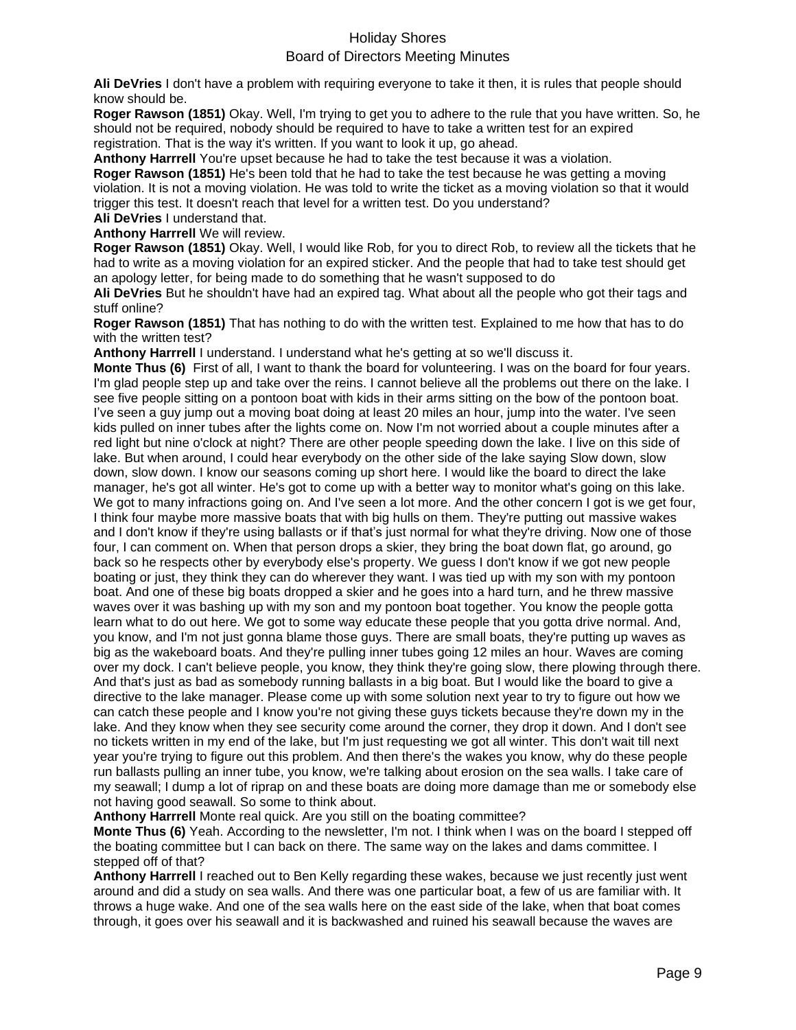**Ali DeVries** I don't have a problem with requiring everyone to take it then, it is rules that people should know should be.

**Roger Rawson (1851)** Okay. Well, I'm trying to get you to adhere to the rule that you have written. So, he should not be required, nobody should be required to have to take a written test for an expired registration. That is the way it's written. If you want to look it up, go ahead.

**Anthony Harrrell** You're upset because he had to take the test because it was a violation.

**Roger Rawson (1851)** He's been told that he had to take the test because he was getting a moving violation. It is not a moving violation. He was told to write the ticket as a moving violation so that it would trigger this test. It doesn't reach that level for a written test. Do you understand? **Ali DeVries** I understand that.

**Anthony Harrrell** We will review.

**Roger Rawson (1851)** Okay. Well, I would like Rob, for you to direct Rob, to review all the tickets that he had to write as a moving violation for an expired sticker. And the people that had to take test should get an apology letter, for being made to do something that he wasn't supposed to do

**Ali DeVries** But he shouldn't have had an expired tag. What about all the people who got their tags and stuff online?

**Roger Rawson (1851)** That has nothing to do with the written test. Explained to me how that has to do with the written test?

**Anthony Harrrell** I understand. I understand what he's getting at so we'll discuss it.

**Monte Thus (6)** First of all, I want to thank the board for volunteering. I was on the board for four years. I'm glad people step up and take over the reins. I cannot believe all the problems out there on the lake. I see five people sitting on a pontoon boat with kids in their arms sitting on the bow of the pontoon boat. I've seen a guy jump out a moving boat doing at least 20 miles an hour, jump into the water. I've seen kids pulled on inner tubes after the lights come on. Now I'm not worried about a couple minutes after a red light but nine o'clock at night? There are other people speeding down the lake. I live on this side of lake. But when around, I could hear everybody on the other side of the lake saying Slow down, slow down, slow down. I know our seasons coming up short here. I would like the board to direct the lake manager, he's got all winter. He's got to come up with a better way to monitor what's going on this lake. We got to many infractions going on. And I've seen a lot more. And the other concern I got is we get four, I think four maybe more massive boats that with big hulls on them. They're putting out massive wakes and I don't know if they're using ballasts or if that's just normal for what they're driving. Now one of those four, I can comment on. When that person drops a skier, they bring the boat down flat, go around, go back so he respects other by everybody else's property. We guess I don't know if we got new people boating or just, they think they can do wherever they want. I was tied up with my son with my pontoon boat. And one of these big boats dropped a skier and he goes into a hard turn, and he threw massive waves over it was bashing up with my son and my pontoon boat together. You know the people gotta learn what to do out here. We got to some way educate these people that you gotta drive normal. And, you know, and I'm not just gonna blame those guys. There are small boats, they're putting up waves as big as the wakeboard boats. And they're pulling inner tubes going 12 miles an hour. Waves are coming over my dock. I can't believe people, you know, they think they're going slow, there plowing through there. And that's just as bad as somebody running ballasts in a big boat. But I would like the board to give a directive to the lake manager. Please come up with some solution next year to try to figure out how we can catch these people and I know you're not giving these guys tickets because they're down my in the lake. And they know when they see security come around the corner, they drop it down. And I don't see no tickets written in my end of the lake, but I'm just requesting we got all winter. This don't wait till next year you're trying to figure out this problem. And then there's the wakes you know, why do these people run ballasts pulling an inner tube, you know, we're talking about erosion on the sea walls. I take care of my seawall; I dump a lot of riprap on and these boats are doing more damage than me or somebody else not having good seawall. So some to think about.

**Anthony Harrrell** Monte real quick. Are you still on the boating committee?

**Monte Thus (6)** Yeah. According to the newsletter, I'm not. I think when I was on the board I stepped off the boating committee but I can back on there. The same way on the lakes and dams committee. I stepped off of that?

**Anthony Harrrell** I reached out to Ben Kelly regarding these wakes, because we just recently just went around and did a study on sea walls. And there was one particular boat, a few of us are familiar with. It throws a huge wake. And one of the sea walls here on the east side of the lake, when that boat comes through, it goes over his seawall and it is backwashed and ruined his seawall because the waves are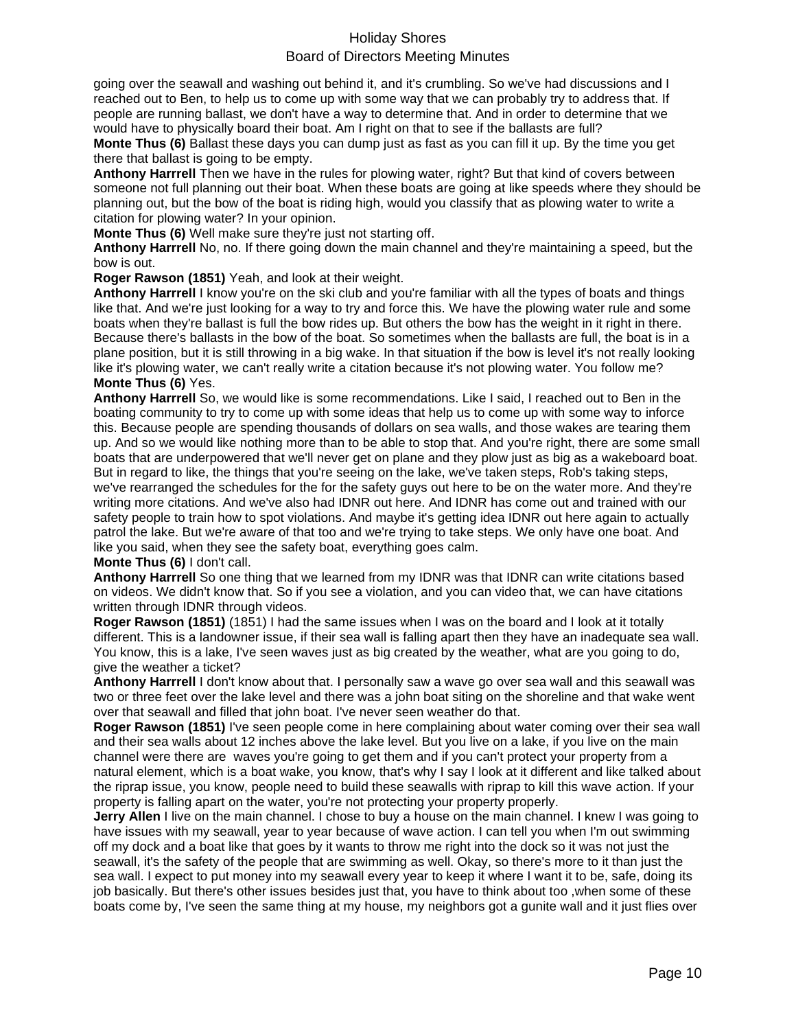going over the seawall and washing out behind it, and it's crumbling. So we've had discussions and I reached out to Ben, to help us to come up with some way that we can probably try to address that. If people are running ballast, we don't have a way to determine that. And in order to determine that we would have to physically board their boat. Am I right on that to see if the ballasts are full?

**Monte Thus (6)** Ballast these days you can dump just as fast as you can fill it up. By the time you get there that ballast is going to be empty.

**Anthony Harrrell** Then we have in the rules for plowing water, right? But that kind of covers between someone not full planning out their boat. When these boats are going at like speeds where they should be planning out, but the bow of the boat is riding high, would you classify that as plowing water to write a citation for plowing water? In your opinion.

**Monte Thus (6)** Well make sure they're just not starting off.

**Anthony Harrrell** No, no. If there going down the main channel and they're maintaining a speed, but the bow is out.

**Roger Rawson (1851)** Yeah, and look at their weight.

**Anthony Harrrell** I know you're on the ski club and you're familiar with all the types of boats and things like that. And we're just looking for a way to try and force this. We have the plowing water rule and some boats when they're ballast is full the bow rides up. But others the bow has the weight in it right in there. Because there's ballasts in the bow of the boat. So sometimes when the ballasts are full, the boat is in a plane position, but it is still throwing in a big wake. In that situation if the bow is level it's not really looking like it's plowing water, we can't really write a citation because it's not plowing water. You follow me? **Monte Thus (6)** Yes.

**Anthony Harrrell** So, we would like is some recommendations. Like I said, I reached out to Ben in the boating community to try to come up with some ideas that help us to come up with some way to inforce this. Because people are spending thousands of dollars on sea walls, and those wakes are tearing them up. And so we would like nothing more than to be able to stop that. And you're right, there are some small boats that are underpowered that we'll never get on plane and they plow just as big as a wakeboard boat. But in regard to like, the things that you're seeing on the lake, we've taken steps, Rob's taking steps, we've rearranged the schedules for the for the safety guys out here to be on the water more. And they're writing more citations. And we've also had IDNR out here. And IDNR has come out and trained with our safety people to train how to spot violations. And maybe it's getting idea IDNR out here again to actually patrol the lake. But we're aware of that too and we're trying to take steps. We only have one boat. And like you said, when they see the safety boat, everything goes calm.

### **Monte Thus (6)** I don't call.

**Anthony Harrrell** So one thing that we learned from my IDNR was that IDNR can write citations based on videos. We didn't know that. So if you see a violation, and you can video that, we can have citations written through IDNR through videos.

**Roger Rawson (1851)** (1851) I had the same issues when I was on the board and I look at it totally different. This is a landowner issue, if their sea wall is falling apart then they have an inadequate sea wall. You know, this is a lake, I've seen waves just as big created by the weather, what are you going to do, give the weather a ticket?

**Anthony Harrrell** I don't know about that. I personally saw a wave go over sea wall and this seawall was two or three feet over the lake level and there was a john boat siting on the shoreline and that wake went over that seawall and filled that john boat. I've never seen weather do that.

**Roger Rawson (1851)** I've seen people come in here complaining about water coming over their sea wall and their sea walls about 12 inches above the lake level. But you live on a lake, if you live on the main channel were there are waves you're going to get them and if you can't protect your property from a natural element, which is a boat wake, you know, that's why I say I look at it different and like talked about the riprap issue, you know, people need to build these seawalls with riprap to kill this wave action. If your property is falling apart on the water, you're not protecting your property properly.

**Jerry Allen** I live on the main channel. I chose to buy a house on the main channel. I knew I was going to have issues with my seawall, year to year because of wave action. I can tell you when I'm out swimming off my dock and a boat like that goes by it wants to throw me right into the dock so it was not just the seawall, it's the safety of the people that are swimming as well. Okay, so there's more to it than just the sea wall. I expect to put money into my seawall every year to keep it where I want it to be, safe, doing its job basically. But there's other issues besides just that, you have to think about too ,when some of these boats come by, I've seen the same thing at my house, my neighbors got a gunite wall and it just flies over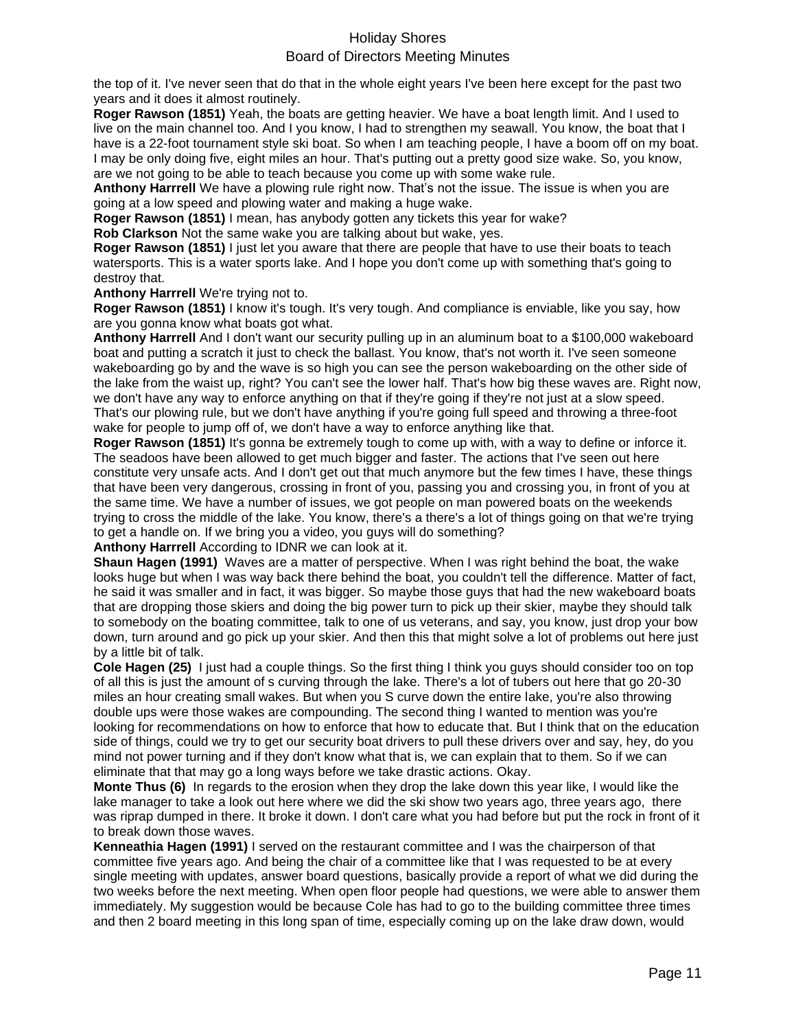the top of it. I've never seen that do that in the whole eight years I've been here except for the past two years and it does it almost routinely.

**Roger Rawson (1851)** Yeah, the boats are getting heavier. We have a boat length limit. And I used to live on the main channel too. And I you know, I had to strengthen my seawall. You know, the boat that I have is a 22-foot tournament style ski boat. So when I am teaching people, I have a boom off on my boat. I may be only doing five, eight miles an hour. That's putting out a pretty good size wake. So, you know, are we not going to be able to teach because you come up with some wake rule.

**Anthony Harrrell** We have a plowing rule right now. That's not the issue. The issue is when you are going at a low speed and plowing water and making a huge wake.

**Roger Rawson (1851)** I mean, has anybody gotten any tickets this year for wake?

**Rob Clarkson** Not the same wake you are talking about but wake, yes.

**Roger Rawson (1851)** I just let you aware that there are people that have to use their boats to teach watersports. This is a water sports lake. And I hope you don't come up with something that's going to destroy that.

**Anthony Harrrell** We're trying not to.

**Roger Rawson (1851)** I know it's tough. It's very tough. And compliance is enviable, like you say, how are you gonna know what boats got what.

**Anthony Harrrell** And I don't want our security pulling up in an aluminum boat to a \$100,000 wakeboard boat and putting a scratch it just to check the ballast. You know, that's not worth it. I've seen someone wakeboarding go by and the wave is so high you can see the person wakeboarding on the other side of the lake from the waist up, right? You can't see the lower half. That's how big these waves are. Right now, we don't have any way to enforce anything on that if they're going if they're not just at a slow speed. That's our plowing rule, but we don't have anything if you're going full speed and throwing a three-foot wake for people to jump off of, we don't have a way to enforce anything like that.

**Roger Rawson (1851)** It's gonna be extremely tough to come up with, with a way to define or inforce it. The seadoos have been allowed to get much bigger and faster. The actions that I've seen out here constitute very unsafe acts. And I don't get out that much anymore but the few times I have, these things that have been very dangerous, crossing in front of you, passing you and crossing you, in front of you at the same time. We have a number of issues, we got people on man powered boats on the weekends trying to cross the middle of the lake. You know, there's a there's a lot of things going on that we're trying to get a handle on. If we bring you a video, you guys will do something?

**Anthony Harrrell** According to IDNR we can look at it.

**Shaun Hagen (1991)** Waves are a matter of perspective. When I was right behind the boat, the wake looks huge but when I was way back there behind the boat, you couldn't tell the difference. Matter of fact, he said it was smaller and in fact, it was bigger. So maybe those guys that had the new wakeboard boats that are dropping those skiers and doing the big power turn to pick up their skier, maybe they should talk to somebody on the boating committee, talk to one of us veterans, and say, you know, just drop your bow down, turn around and go pick up your skier. And then this that might solve a lot of problems out here just by a little bit of talk.

**Cole Hagen (25)** I just had a couple things. So the first thing I think you guys should consider too on top of all this is just the amount of s curving through the lake. There's a lot of tubers out here that go 20-30 miles an hour creating small wakes. But when you S curve down the entire lake, you're also throwing double ups were those wakes are compounding. The second thing I wanted to mention was you're looking for recommendations on how to enforce that how to educate that. But I think that on the education side of things, could we try to get our security boat drivers to pull these drivers over and say, hey, do you mind not power turning and if they don't know what that is, we can explain that to them. So if we can eliminate that that may go a long ways before we take drastic actions. Okay.

**Monte Thus (6)** In regards to the erosion when they drop the lake down this year like, I would like the lake manager to take a look out here where we did the ski show two years ago, three years ago, there was riprap dumped in there. It broke it down. I don't care what you had before but put the rock in front of it to break down those waves.

**Kenneathia Hagen (1991)** I served on the restaurant committee and I was the chairperson of that committee five years ago. And being the chair of a committee like that I was requested to be at every single meeting with updates, answer board questions, basically provide a report of what we did during the two weeks before the next meeting. When open floor people had questions, we were able to answer them immediately. My suggestion would be because Cole has had to go to the building committee three times and then 2 board meeting in this long span of time, especially coming up on the lake draw down, would